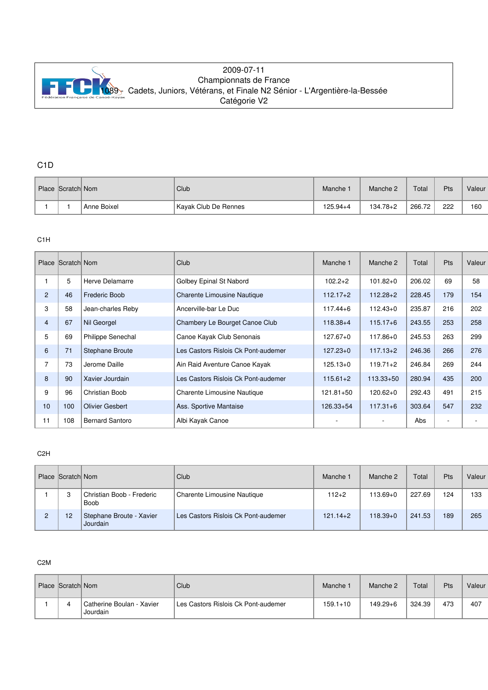

## 2009-07-11 Championnats de France [1089 - C](http://www.ffck.org)adets, Juniors, Vétérans, et Finale N2 Sénior - L'Argentière-la-Bessée Catégorie V2

# C1D

| Place Scratch Nom |             | Club                 | Manche <sup>-</sup> | Manche 2     | Total  | <b>Pts</b> | Valeur |
|-------------------|-------------|----------------------|---------------------|--------------|--------|------------|--------|
|                   | Anne Boixel | Kavak Club De Rennes | $125.94 + 4$        | $134.78 + 2$ | 266.72 | 222        | 160    |

## C1H

|                | Place Scratch Nom |                          | Club                                | Manche 1      | Manche 2      | Total  | <b>Pts</b>               | Valeur |
|----------------|-------------------|--------------------------|-------------------------------------|---------------|---------------|--------|--------------------------|--------|
|                | 5                 | Herve Delamarre          | Golbey Epinal St Nabord             | $102.2 + 2$   | $101.82 + 0$  | 206.02 | 69                       | 58     |
| $\overline{2}$ | 46                | <b>Frederic Boob</b>     | Charente Limousine Nautique         | $112.17 + 2$  | $112.28 + 2$  | 228.45 | 179                      | 154    |
| 3              | 58                | Jean-charles Reby        | Ancerville-bar Le Duc               | $117.44 + 6$  | $112.43+0$    | 235.87 | 216                      | 202    |
| $\overline{4}$ | 67                | Nil Georgel              | Chambery Le Bourget Canoe Club      | $118.38 + 4$  | $115.17 + 6$  | 243.55 | 253                      | 258    |
| 5              | 69                | <b>Philippe Senechal</b> | Canoe Kayak Club Senonais           | $127.67 + 0$  | $117.86 + 0$  | 245.53 | 263                      | 299    |
| 6              | 71                | <b>Stephane Broute</b>   | Les Castors Rislois Ck Pont-audemer | $127.23+0$    | $117.13 + 2$  | 246.36 | 266                      | 276    |
| 7              | 73                | Jerome Daille            | Ain Raid Aventure Canoe Kayak       | $125.13+0$    | $119.71 + 2$  | 246.84 | 269                      | 244    |
| 8              | 90                | Xavier Jourdain          | Les Castors Rislois Ck Pont-audemer | $115.61 + 2$  | $113.33 + 50$ | 280.94 | 435                      | 200    |
| 9              | 96                | Christian Boob           | Charente Limousine Nautique         | $121.81 + 50$ | $120.62 + 0$  | 292.43 | 491                      | 215    |
| 10             | 100               | <b>Olivier Gesbert</b>   | Ass. Sportive Mantaise              | $126.33 + 54$ | $117.31 + 6$  | 303.64 | 547                      | 232    |
| 11             | 108               | <b>Bernard Santoro</b>   | Albi Kayak Canoe                    |               |               | Abs    | $\overline{\phantom{a}}$ |        |

### C2H

|   | Place Scratch Nom |                                      | Club                                | Manche 1     | Manche 2     | Total  | <b>Pts</b> | Valeur |
|---|-------------------|--------------------------------------|-------------------------------------|--------------|--------------|--------|------------|--------|
|   | 3                 | Christian Boob - Frederic<br>Boob    | Charente Limousine Nautique         | $112+2$      | 113.69+0     | 227.69 | 124        | 133    |
| 2 | 12                | Stephane Broute - Xavier<br>Jourdain | Les Castors Rislois Ck Pont-audemer | $121.14 + 2$ | $118.39 + 0$ | 241.53 | 189        | 265    |

#### C2M

| Place Scratch Nom |                                       | Club                                | Manche 1     | Manche 2     | Total  | Pts | Valeur |
|-------------------|---------------------------------------|-------------------------------------|--------------|--------------|--------|-----|--------|
|                   | Catherine Boulan - Xavier<br>Jourdain | Les Castors Rislois Ck Pont-audemer | $159.1 + 10$ | $149.29 + 6$ | 324.39 | 473 | 407    |